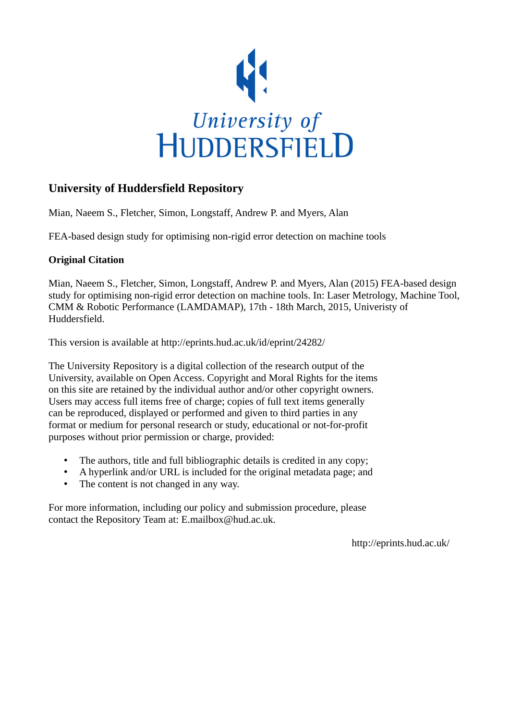

# **University of Huddersfield Repository**

Mian, Naeem S., Fletcher, Simon, Longstaff, Andrew P. and Myers, Alan

FEA-based design study for optimising non-rigid error detection on machine tools

# **Original Citation**

Mian, Naeem S., Fletcher, Simon, Longstaff, Andrew P. and Myers, Alan (2015) FEA-based design study for optimising non-rigid error detection on machine tools. In: Laser Metrology, Machine Tool, CMM & Robotic Performance (LAMDAMAP), 17th - 18th March, 2015, Univeristy of Huddersfield.

This version is available at http://eprints.hud.ac.uk/id/eprint/24282/

The University Repository is a digital collection of the research output of the University, available on Open Access. Copyright and Moral Rights for the items on this site are retained by the individual author and/or other copyright owners. Users may access full items free of charge; copies of full text items generally can be reproduced, displayed or performed and given to third parties in any format or medium for personal research or study, educational or not-for-profit purposes without prior permission or charge, provided:

- The authors, title and full bibliographic details is credited in any copy;
- A hyperlink and/or URL is included for the original metadata page; and
- The content is not changed in any way.

For more information, including our policy and submission procedure, please contact the Repository Team at: E.mailbox@hud.ac.uk.

http://eprints.hud.ac.uk/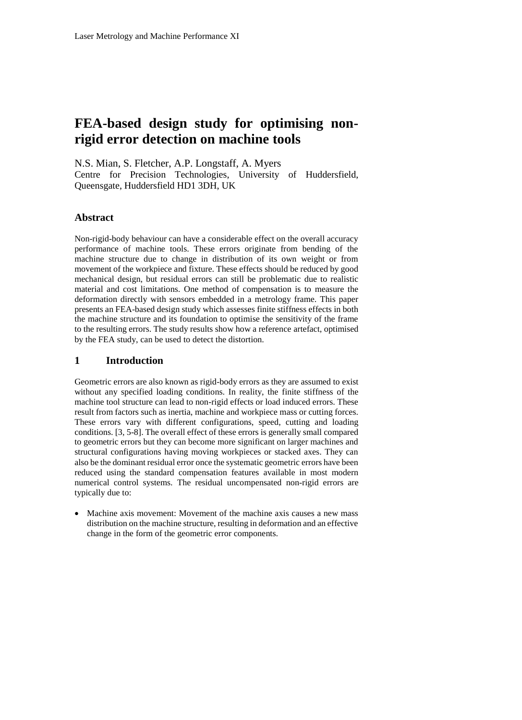# **FEA-based design study for optimising nonrigid error detection on machine tools**

N.S. Mian, S. Fletcher, A.P. Longstaff, A. Myers

Centre for Precision Technologies, University of Huddersfield, Queensgate, Huddersfield HD1 3DH, UK

## **Abstract**

Non-rigid-body behaviour can have a considerable effect on the overall accuracy performance of machine tools. These errors originate from bending of the machine structure due to change in distribution of its own weight or from movement of the workpiece and fixture. These effects should be reduced by good mechanical design, but residual errors can still be problematic due to realistic material and cost limitations. One method of compensation is to measure the deformation directly with sensors embedded in a metrology frame. This paper presents an FEA-based design study which assesses finite stiffness effects in both the machine structure and its foundation to optimise the sensitivity of the frame to the resulting errors. The study results show how a reference artefact, optimised by the FEA study, can be used to detect the distortion.

## **1 Introduction**

Geometric errors are also known as rigid-body errors as they are assumed to exist without any specified loading conditions. In reality, the finite stiffness of the machine tool structure can lead to non-rigid effects or load induced errors. These result from factors such as inertia, machine and workpiece mass or cutting forces. These errors vary with different configurations, speed, cutting and loading conditions. [3, 5-8]. The overall effect of these errors is generally small compared to geometric errors but they can become more significant on larger machines and structural configurations having moving workpieces or stacked axes. They can also be the dominant residual error once the systematic geometric errors have been reduced using the standard compensation features available in most modern numerical control systems. The residual uncompensated non-rigid errors are typically due to:

 Machine axis movement: Movement of the machine axis causes a new mass distribution on the machine structure, resulting in deformation and an effective change in the form of the geometric error components.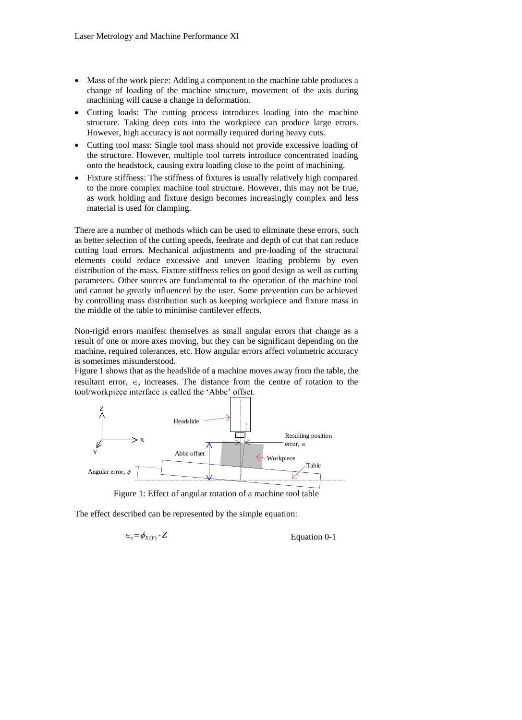- Mass of the work piece: Adding a component to the machine table produces a change of loading of the machine structure, movement of the axis during machining will cause a change in deformation.
- Cutting loads: The cutting process introduces loading into the machine structure. Taking deep cuts into the workpiece can produce large errors. However, high accuracy is not normally required during heavy cuts.
- Cutting tool mass: Single tool mass should not provide excessive loading of the structure. However, multiple tool turrets introduce concentrated loading onto the headstock, causing extra loading close to the point of machining.
- Fixture stiffness: The stiffness of fixtures is usually relatively high compared to the more complex machine tool structure. However, this may not be true, as work holding and fixture design becomes increasingly complex and less material is used for clamping.

There are a number of methods which can be used to eliminate these errors, such as better selection of the cutting speeds, feedrate and depth of cut that can reduce cutting load errors. Mechanical adjustments and pre-loading of the structural elements could reduce excessive and uneven loading problems by even distribution of the mass. Fixture stiffness relies on good design as well as cutting parameters. Other sources are fundamental to the operation of the machine tool and cannot be greatly influenced by the user. Some prevention can be achieved by controlling mass distribution such as keeping workpiece and fixture mass in the middle of the table to minimise cantilever effects.

Non-rigid errors manifest themselves as small angular errors that change as a result of one or more axes moving, but they can be significant depending on the machine, required tolerances, etc. How angular errors affect volumetric accuracy is sometimes misunderstood.

[Figure 1](#page-2-0) shows that as the headslide of a machine moves away from the table, the resultant error,  $\epsilon$ , increases. The distance from the centre of rotation to the tool/workpiece interface is called the 'Abbe' offset.



<span id="page-2-0"></span>Figure 1: Effect of angular rotation of a machine tool table

The effect described can be represented by the simple equation:

$$
\in_{\mathbf{x}} = \phi_{X(Y)} \cdot Z
$$
 Equation 0-1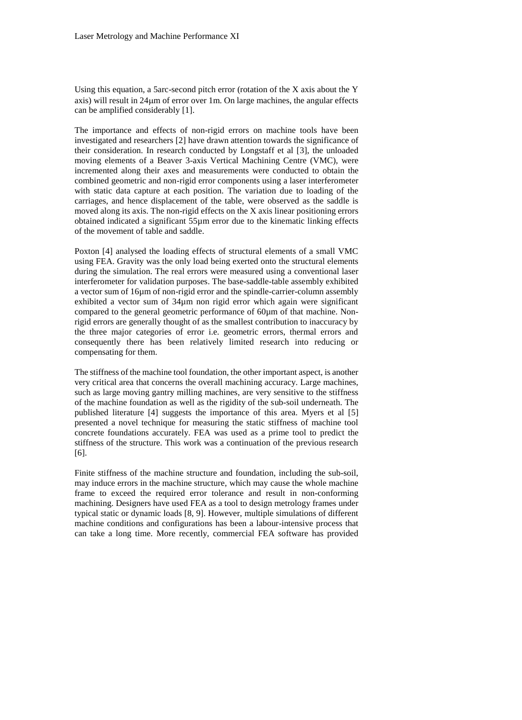Using this equation, a 5arc-second pitch error (rotation of the X axis about the Y axis) will result in 24µm of error over 1m. On large machines, the angular effects can be amplified considerably [1].

The importance and effects of non-rigid errors on machine tools have been investigated and researchers [2] have drawn attention towards the significance of their consideration. In research conducted by Longstaff et al [3], the unloaded moving elements of a Beaver 3-axis Vertical Machining Centre (VMC), were incremented along their axes and measurements were conducted to obtain the combined geometric and non-rigid error components using a laser interferometer with static data capture at each position. The variation due to loading of the carriages, and hence displacement of the table, were observed as the saddle is moved along its axis. The non-rigid effects on the X axis linear positioning errors obtained indicated a significant 55µm error due to the kinematic linking effects of the movement of table and saddle.

Poxton [\[4\]](#page-10-0) analysed the loading effects of structural elements of a small VMC using FEA. Gravity was the only load being exerted onto the structural elements during the simulation. The real errors were measured using a conventional laser interferometer for validation purposes. The base-saddle-table assembly exhibited a vector sum of 16µm of non-rigid error and the spindle-carrier-column assembly exhibited a vector sum of 34µm non rigid error which again were significant compared to the general geometric performance of 60um of that machine. Nonrigid errors are generally thought of as the smallest contribution to inaccuracy by the three major categories of error i.e. geometric errors, thermal errors and consequently there has been relatively limited research into reducing or compensating for them.

The stiffness of the machine tool foundation, the other important aspect, is another very critical area that concerns the overall machining accuracy. Large machines, such as large moving gantry milling machines, are very sensitive to the stiffness of the machine foundation as well as the rigidity of the sub-soil underneath. The published literature [4] suggests the importance of this area. Myers et al [5] presented a novel technique for measuring the static stiffness of machine tool concrete foundations accurately. FEA was used as a prime tool to predict the stiffness of the structure. This work was a continuation of the previous research [6].

Finite stiffness of the machine structure and foundation, including the sub-soil, may induce errors in the machine structure, which may cause the whole machine frame to exceed the required error tolerance and result in non-conforming machining. Designers have used FEA as a tool to design metrology frames under typical static or dynamic loads [\[8,](#page-10-1) [9\]](#page-10-2). However, multiple simulations of different machine conditions and configurations has been a labour-intensive process that can take a long time. More recently, commercial FEA software has provided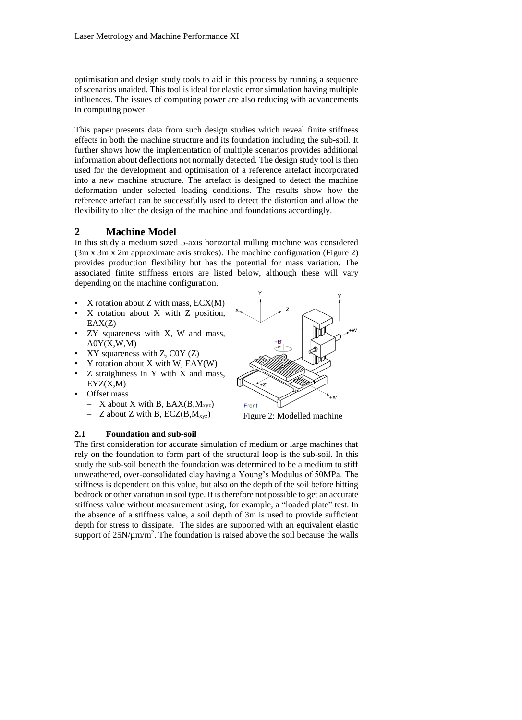optimisation and design study tools to aid in this process by running a sequence of scenarios unaided. This tool is ideal for elastic error simulation having multiple influences. The issues of computing power are also reducing with advancements in computing power.

This paper presents data from such design studies which reveal finite stiffness effects in both the machine structure and its foundation including the sub-soil. It further shows how the implementation of multiple scenarios provides additional information about deflections not normally detected. The design study tool is then used for the development and optimisation of a reference artefact incorporated into a new machine structure. The artefact is designed to detect the machine deformation under selected loading conditions. The results show how the reference artefact can be successfully used to detect the distortion and allow the flexibility to alter the design of the machine and foundations accordingly.

## **2 Machine Model**

In this study a medium sized 5-axis horizontal milling machine was considered (3m x 3m x 2m approximate axis strokes). The machine configuration [\(Figure](#page-4-0) 2) provides production flexibility but has the potential for mass variation. The associated finite stiffness errors are listed below, although these will vary depending on the machine configuration.

- $X$  rotation about  $Z$  with mass,  $ECX(M)$
- X rotation about X with Z position,  $EAX(Z)$
- ZY squareness with X, W and mass,  $A0Y(X,W,M)$
- $XY$  squareness with  $Z$ ,  $C0Y(Z)$
- $Y$  rotation about  $X$  with  $W$ ,  $EAY(W)$
- Z straightness in Y with X and mass, EYZ(X,M)
- Offset mass
	- $X$  about X with B, EAX(B,M<sub>xyz</sub>)
	- Z about Z with B,  $ECZ(B, M_{xyz})$

<span id="page-4-0"></span>

Figure 2: Modelled machine

#### **2.1 Foundation and sub-soil**

The first consideration for accurate simulation of medium or large machines that rely on the foundation to form part of the structural loop is the sub-soil. In this study the sub-soil beneath the foundation was determined to be a medium to stiff unweathered, over-consolidated clay having a Young's Modulus of 50MPa. The stiffness is dependent on this value, but also on the depth of the soil before hitting bedrock or other variation in soil type. It is therefore not possible to get an accurate stiffness value without measurement using, for example, a "loaded plate" test. In the absence of a stiffness value, a soil depth of 3m is used to provide sufficient depth for stress to dissipate. The sides are supported with an equivalent elastic support of  $25N/\mu m/m^2$ . The foundation is raised above the soil because the walls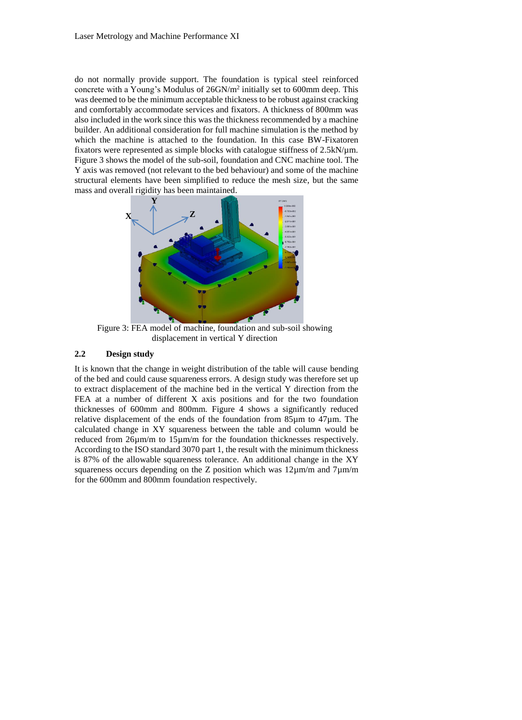do not normally provide support. The foundation is typical steel reinforced concrete with a Young's Modulus of  $26GN/m^2$  initially set to 600mm deep. This was deemed to be the minimum acceptable thickness to be robust against cracking and comfortably accommodate services and fixators. A thickness of 800mm was also included in the work since this was the thickness recommended by a machine builder. An additional consideration for full machine simulation is the method by which the machine is attached to the foundation. In this case BW-Fixatoren fixators were represented as simple blocks with catalogue stiffness of 2.5kN/µm. [Figure 3](#page-5-0) shows the model of the sub-soil, foundation and CNC machine tool. The Y axis was removed (not relevant to the bed behaviour) and some of the machine structural elements have been simplified to reduce the mesh size, but the same mass and overall rigidity has been maintained.



<span id="page-5-0"></span>Figure 3: FEA model of machine, foundation and sub-soil showing displacement in vertical Y direction

#### **2.2 Design study**

It is known that the change in weight distribution of the table will cause bending of the bed and could cause squareness errors. A design study was therefore set up to extract displacement of the machine bed in the vertical Y direction from the FEA at a number of different X axis positions and for the two foundation thicknesses of 600mm and 800mm. [Figure 4](#page-6-0) shows a significantly reduced relative displacement of the ends of the foundation from 85µm to 47µm. The calculated change in XY squareness between the table and column would be reduced from 26µm/m to 15µm/m for the foundation thicknesses respectively. According to the ISO standard 3070 part 1, the result with the minimum thickness is 87% of the allowable squareness tolerance. An additional change in the XY squareness occurs depending on the Z position which was  $12\mu m/m$  and  $7\mu m/m$ for the 600mm and 800mm foundation respectively.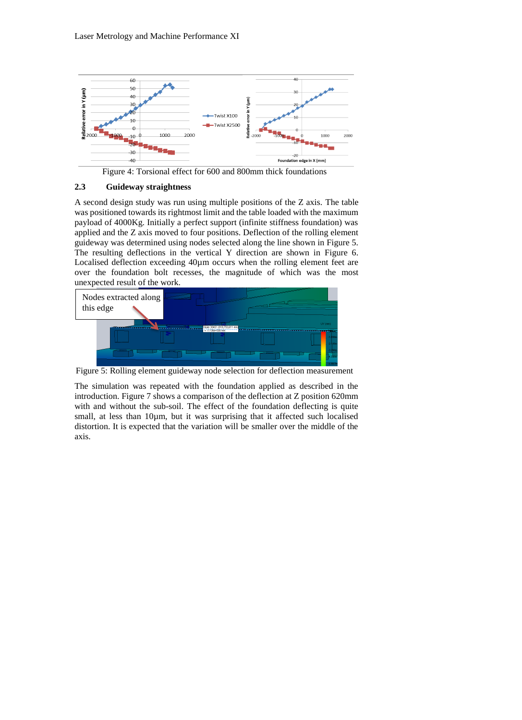

Figure 4: Torsional effect for 600 and 800mm thick foundations

#### <span id="page-6-0"></span>**2.3 Guideway straightness**

A second design study was run using multiple positions of the Z axis. The table was positioned towards its rightmost limit and the table loaded with the maximum payload of 4000Kg. Initially a perfect support (infinite stiffness foundation) was applied and the Z axis moved to four positions. Deflection of the rolling element guideway was determined using nodes selected along the line shown in [Figure 5.](#page-6-1) The resulting deflections in the vertical Y direction are shown in [Figure 6.](#page-7-0) Localised deflection exceeding 40µm occurs when the rolling element feet are over the foundation bolt recesses, the magnitude of which was the most unexpected result of the work.



Figure 5: Rolling element guideway node selection for deflection measurement

<span id="page-6-1"></span>The simulation was repeated with the foundation applied as described in the introduction. [Figure 7](#page-7-1) shows a comparison of the deflection at Z position 620mm with and without the sub-soil. The effect of the foundation deflecting is quite small, at less than 10µm, but it was surprising that it affected such localised distortion. It is expected that the variation will be smaller over the middle of the axis.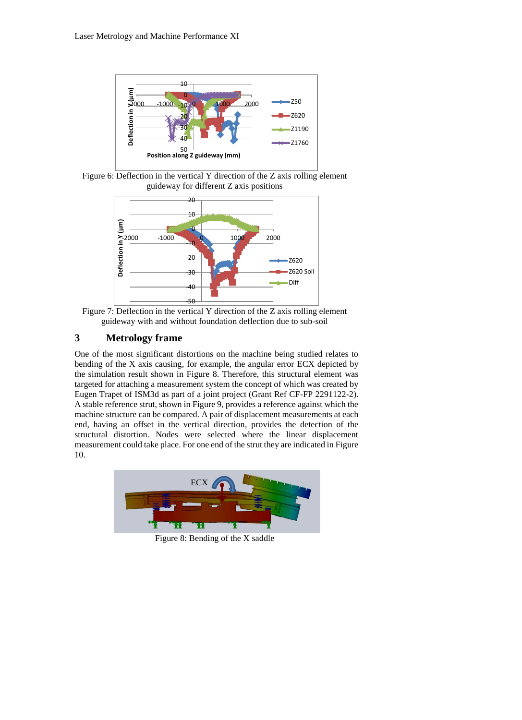

<span id="page-7-0"></span>Figure 6: Deflection in the vertical Y direction of the Z axis rolling element guideway for different Z axis positions



<span id="page-7-1"></span>Figure 7: Deflection in the vertical Y direction of the Z axis rolling element guideway with and without foundation deflection due to sub-soil

# **3 Metrology frame**

One of the most significant distortions on the machine being studied relates to bending of the X axis causing, for example, the angular error ECX depicted by the simulation result shown in [Figure 8.](#page-7-2) Therefore, this structural element was targeted for attaching a measurement system the concept of which was created by Eugen Trapet of ISM3d as part of a joint project (Grant Ref CF-FP 2291122-2). A stable reference strut, shown i[n Figure 9,](#page-8-0) provides a reference against which the machine structure can be compared. A pair of displacement measurements at each end, having an offset in the vertical direction, provides the detection of the structural distortion. Nodes were selected where the linear displacement measurement could take place. For one end of the strut they are indicated in [Figure](#page-8-1)  [10.](#page-8-1)

<span id="page-7-2"></span>

Figure 8: Bending of the X saddle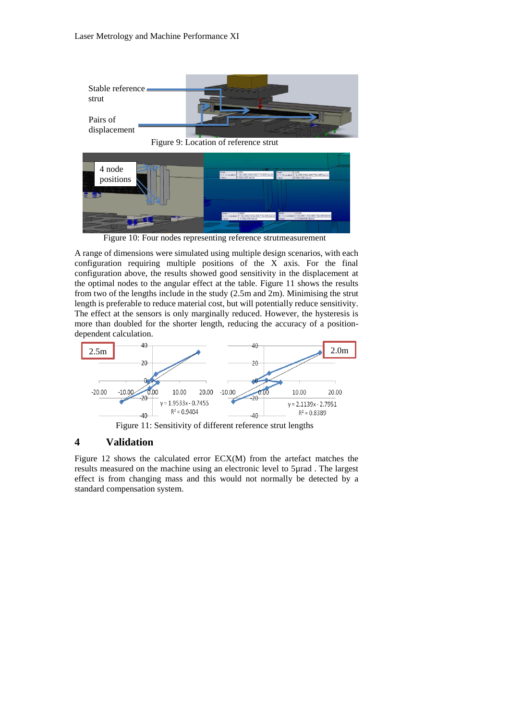<span id="page-8-0"></span>

Figure 10: Four nodes representing reference strutmeasurement

<span id="page-8-1"></span>A range of dimensions were simulated using multiple design scenarios, with each configuration requiring multiple positions of the X axis. For the final configuration above, the results showed good sensitivity in the displacement at the optimal nodes to the angular effect at the table. [Figure 11](#page-8-2) shows the results from two of the lengths include in the study (2.5m and 2m). Minimising the strut length is preferable to reduce material cost, but will potentially reduce sensitivity. The effect at the sensors is only marginally reduced. However, the hysteresis is more than doubled for the shorter length, reducing the accuracy of a positiondependent calculation.



Figure 11: Sensitivity of different reference strut lengths

### <span id="page-8-2"></span>**4 Validation**

[Figure 12](#page-9-0) shows the calculated error ECX(M) from the artefact matches the results measured on the machine using an electronic level to 5µrad . The largest effect is from changing mass and this would not normally be detected by a standard compensation system.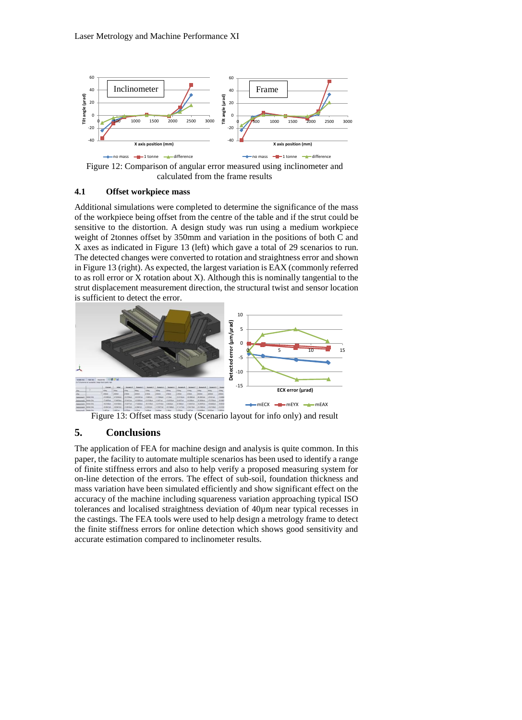

<span id="page-9-0"></span>Figure 12: Comparison of angular error measured using inclinometer and calculated from the frame results

#### **4.1 Offset workpiece mass**

Additional simulations were completed to determine the significance of the mass of the workpiece being offset from the centre of the table and if the strut could be sensitive to the distortion. A design study was run using a medium workpiece weight of 2tonnes offset by 350mm and variation in the positions of both C and X axes as indicated in [Figure 13](#page-9-1) (left) which gave a total of 29 scenarios to run. The detected changes were converted to rotation and straightness error and shown in [Figure 13](#page-9-1) (right). As expected, the largest variation is EAX (commonly referred to as roll error or X rotation about X). Although this is nominally tangential to the strut displacement measurement direction, the structural twist and sensor location is sufficient to detect the error.



Figure 13: Offset mass study (Scenario layout for info only) and result

# <span id="page-9-1"></span>**5. Conclusions**

The application of FEA for machine design and analysis is quite common. In this paper, the facility to automate multiple scenarios has been used to identify a range of finite stiffness errors and also to help verify a proposed measuring system for on-line detection of the errors. The effect of sub-soil, foundation thickness and mass variation have been simulated efficiently and show significant effect on the accuracy of the machine including squareness variation approaching typical ISO tolerances and localised straightness deviation of 40µm near typical recesses in the castings. The FEA tools were used to help design a metrology frame to detect the finite stiffness errors for online detection which shows good sensitivity and accurate estimation compared to inclinometer results.